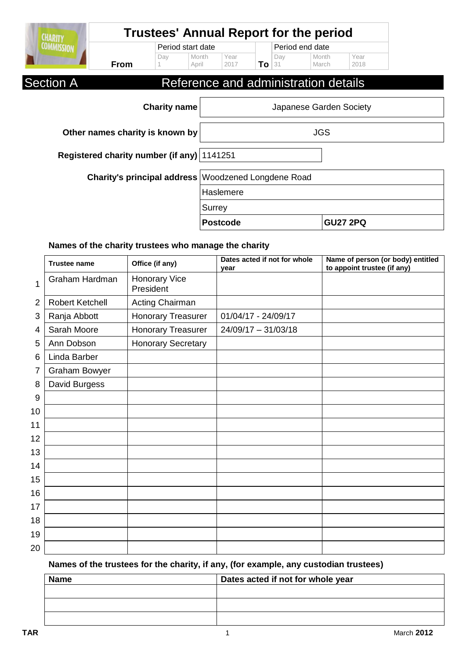|                  |             |     |                   |              |       |     | <b>Trustees' Annual Report for the period</b> |              |
|------------------|-------------|-----|-------------------|--------------|-------|-----|-----------------------------------------------|--------------|
|                  |             |     | Period start date |              |       |     | Period end date                               |              |
|                  | <b>From</b> | Day | Month<br>April    | Year<br>2017 | To 31 | Day | Month<br>March                                | Year<br>2018 |
| <b>Section A</b> |             |     |                   |              |       |     | Reference and administration details          |              |

| <b>Charity name</b>                                 | Japanese Garden Society |                 |
|-----------------------------------------------------|-------------------------|-----------------|
| Other names charity is known by                     | <b>JGS</b>              |                 |
| Registered charity number (if any) 1141251          |                         |                 |
| Charity's principal address Woodzened Longdene Road |                         |                 |
|                                                     | Haslemere               |                 |
|                                                     | Surrey                  |                 |
|                                                     | <b>Postcode</b>         | <b>GU27 2PQ</b> |

## **Names of the charity trustees who manage the charity**

|                | <b>Trustee name</b>    | Office (if any)                   | Dates acted if not for whole<br>vear | Name of person (or body) entitled<br>to appoint trustee (if any) |
|----------------|------------------------|-----------------------------------|--------------------------------------|------------------------------------------------------------------|
| 1              | Graham Hardman         | <b>Honorary Vice</b><br>President |                                      |                                                                  |
| $\overline{2}$ | <b>Robert Ketchell</b> | Acting Chairman                   |                                      |                                                                  |
| 3              | Ranja Abbott           | <b>Honorary Treasurer</b>         | 01/04/17 - 24/09/17                  |                                                                  |
| 4              | Sarah Moore            | <b>Honorary Treasurer</b>         | $24/09/17 - 31/03/18$                |                                                                  |
| 5              | Ann Dobson             | <b>Honorary Secretary</b>         |                                      |                                                                  |
| 6              | Linda Barber           |                                   |                                      |                                                                  |
| 7              | Graham Bowyer          |                                   |                                      |                                                                  |
| 8              | David Burgess          |                                   |                                      |                                                                  |
| 9              |                        |                                   |                                      |                                                                  |
| 10             |                        |                                   |                                      |                                                                  |
| 11             |                        |                                   |                                      |                                                                  |
| 12             |                        |                                   |                                      |                                                                  |
| 13             |                        |                                   |                                      |                                                                  |
| 14             |                        |                                   |                                      |                                                                  |
| 15             |                        |                                   |                                      |                                                                  |
| 16             |                        |                                   |                                      |                                                                  |
| 17             |                        |                                   |                                      |                                                                  |
| 18             |                        |                                   |                                      |                                                                  |
| 19             |                        |                                   |                                      |                                                                  |
| 20             |                        |                                   |                                      |                                                                  |

## **Names of the trustees for the charity, if any, (for example, any custodian trustees)**

| <b>Name</b> | Dates acted if not for whole year |
|-------------|-----------------------------------|
|             |                                   |
|             |                                   |
|             |                                   |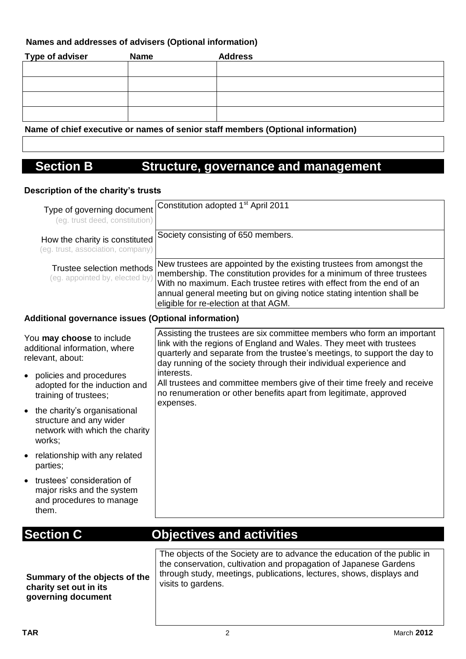### **Names and addresses of advisers (Optional information)**

| <b>Type of adviser</b> | <b>Name</b> | <b>Address</b> |
|------------------------|-------------|----------------|
|                        |             |                |
|                        |             |                |
|                        |             |                |
|                        |             |                |

#### **Name of chief executive or names of senior staff members (Optional information)**

## **Section B Structure, governance and management**

#### **Description of the charity's trusts**

| Type of governing document<br>(eg. trust deed, constitution)                                          | Constitution adopted 1 <sup>st</sup> April 2011                                                                                                                                                                                                                                                                                          |
|-------------------------------------------------------------------------------------------------------|------------------------------------------------------------------------------------------------------------------------------------------------------------------------------------------------------------------------------------------------------------------------------------------------------------------------------------------|
| How the charity is constituted<br>(eg. trust, association, company)                                   | Society consisting of 650 members.                                                                                                                                                                                                                                                                                                       |
| Trustee selection methods<br>(eg. appointed by, elected by)                                           | New trustees are appointed by the existing trustees from amongst the<br>membership. The constitution provides for a minimum of three trustees<br>With no maximum. Each trustee retires with effect from the end of an<br>annual general meeting but on giving notice stating intention shall be<br>eligible for re-election at that AGM. |
| Additional governance issues (Optional information)                                                   |                                                                                                                                                                                                                                                                                                                                          |
| You may choose to include<br>additional information, where<br>relevant, about:                        | Assisting the trustees are six committee members who form an important<br>link with the regions of England and Wales. They meet with trustees<br>quarterly and separate from the trustee's meetings, to support the day to<br>day running of the society through their individual experience and                                         |
| • policies and procedures<br>adopted for the induction and<br>training of trustees;                   | interests.<br>All trustees and committee members give of their time freely and receive<br>no renumeration or other benefits apart from legitimate, approved<br>expenses.                                                                                                                                                                 |
| • the charity's organisational<br>structure and any wider<br>network with which the charity<br>works; |                                                                                                                                                                                                                                                                                                                                          |
| • relationship with any related<br>parties;                                                           |                                                                                                                                                                                                                                                                                                                                          |
| • trustees' consideration of<br>major risks and the system<br>and procedures to manage<br>them.       |                                                                                                                                                                                                                                                                                                                                          |

## **Section C Objectives and activities**

**Summary of the objects of the charity set out in its governing document**

The objects of the Society are to advance the education of the public in the conservation, cultivation and propagation of Japanese Gardens through study, meetings, publications, lectures, shows, displays and visits to gardens.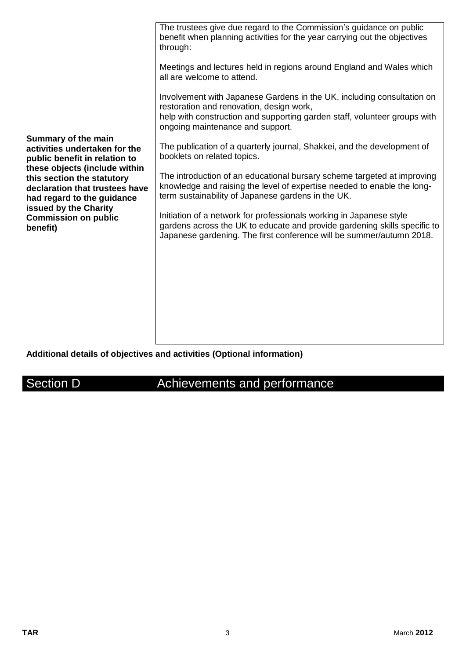|                                                                                                                             | The trustees give due regard to the Commission's guidance on public<br>benefit when planning activities for the year carrying out the objectives<br>through:<br>Meetings and lectures held in regions around England and Wales which<br>all are welcome to attend. |
|-----------------------------------------------------------------------------------------------------------------------------|--------------------------------------------------------------------------------------------------------------------------------------------------------------------------------------------------------------------------------------------------------------------|
|                                                                                                                             | Involvement with Japanese Gardens in the UK, including consultation on<br>restoration and renovation, design work,<br>help with construction and supporting garden staff, volunteer groups with<br>ongoing maintenance and support.                                |
| Summary of the main<br>activities undertaken for the<br>public benefit in relation to                                       | The publication of a quarterly journal, Shakkei, and the development of<br>booklets on related topics.                                                                                                                                                             |
| these objects (include within<br>this section the statutory<br>declaration that trustees have<br>had regard to the guidance | The introduction of an educational bursary scheme targeted at improving<br>knowledge and raising the level of expertise needed to enable the long-<br>term sustainability of Japanese gardens in the UK.                                                           |
| issued by the Charity<br><b>Commission on public</b><br>benefit)                                                            | Initiation of a network for professionals working in Japanese style<br>gardens across the UK to educate and provide gardening skills specific to<br>Japanese gardening. The first conference will be summer/autumn 2018.                                           |
|                                                                                                                             |                                                                                                                                                                                                                                                                    |
|                                                                                                                             |                                                                                                                                                                                                                                                                    |
|                                                                                                                             |                                                                                                                                                                                                                                                                    |

## **Additional details of objectives and activities (Optional information)**

Section D **Achievements and performance**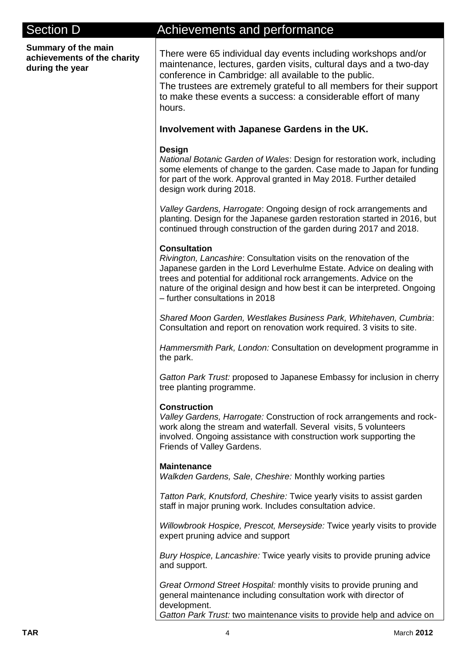| <b>Section D</b>                                                      | Achievements and performance                                                                                                                                                                                                                                                                                                                               |
|-----------------------------------------------------------------------|------------------------------------------------------------------------------------------------------------------------------------------------------------------------------------------------------------------------------------------------------------------------------------------------------------------------------------------------------------|
| Summary of the main<br>achievements of the charity<br>during the year | There were 65 individual day events including workshops and/or<br>maintenance, lectures, garden visits, cultural days and a two-day<br>conference in Cambridge: all available to the public.<br>The trustees are extremely grateful to all members for their support<br>to make these events a success: a considerable effort of many<br>hours.            |
|                                                                       | Involvement with Japanese Gardens in the UK.                                                                                                                                                                                                                                                                                                               |
|                                                                       | Design<br>National Botanic Garden of Wales: Design for restoration work, including<br>some elements of change to the garden. Case made to Japan for funding<br>for part of the work. Approval granted in May 2018. Further detailed<br>design work during 2018.                                                                                            |
|                                                                       | Valley Gardens, Harrogate: Ongoing design of rock arrangements and<br>planting. Design for the Japanese garden restoration started in 2016, but<br>continued through construction of the garden during 2017 and 2018.                                                                                                                                      |
|                                                                       | <b>Consultation</b><br>Rivington, Lancashire: Consultation visits on the renovation of the<br>Japanese garden in the Lord Leverhulme Estate. Advice on dealing with<br>trees and potential for additional rock arrangements. Advice on the<br>nature of the original design and how best it can be interpreted. Ongoing<br>- further consultations in 2018 |
|                                                                       | Shared Moon Garden, Westlakes Business Park, Whitehaven, Cumbria:<br>Consultation and report on renovation work required. 3 visits to site.                                                                                                                                                                                                                |
|                                                                       | Hammersmith Park, London: Consultation on development programme in<br>the park.                                                                                                                                                                                                                                                                            |
|                                                                       | Gatton Park Trust: proposed to Japanese Embassy for inclusion in cherry<br>tree planting programme.                                                                                                                                                                                                                                                        |
|                                                                       | <b>Construction</b><br>Valley Gardens, Harrogate: Construction of rock arrangements and rock-<br>work along the stream and waterfall. Several visits, 5 volunteers<br>involved. Ongoing assistance with construction work supporting the<br>Friends of Valley Gardens.                                                                                     |
|                                                                       | <b>Maintenance</b><br>Walkden Gardens, Sale, Cheshire: Monthly working parties                                                                                                                                                                                                                                                                             |
|                                                                       | Tatton Park, Knutsford, Cheshire: Twice yearly visits to assist garden<br>staff in major pruning work. Includes consultation advice.                                                                                                                                                                                                                       |
|                                                                       | Willowbrook Hospice, Prescot, Merseyside: Twice yearly visits to provide<br>expert pruning advice and support                                                                                                                                                                                                                                              |
|                                                                       | Bury Hospice, Lancashire: Twice yearly visits to provide pruning advice<br>and support.                                                                                                                                                                                                                                                                    |
|                                                                       | Great Ormond Street Hospital: monthly visits to provide pruning and<br>general maintenance including consultation work with director of<br>development.<br>Gatton Park Trust: two maintenance visits to provide help and advice on                                                                                                                         |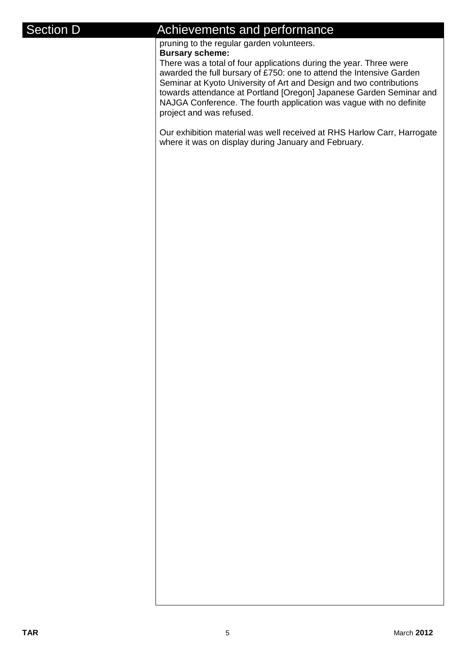### Section D **Achievements** and performance

pruning to the regular garden volunteers.

#### **Bursary scheme:**

There was a total of four applications during the year. Three were awarded the full bursary of £750: one to attend the Intensive Garden Seminar at Kyoto University of Art and Design and two contributions towards attendance at Portland [Oregon] Japanese Garden Seminar and NAJGA Conference. The fourth application was vague with no definite project and was refused.

Our exhibition material was well received at RHS Harlow Carr, Harrogate where it was on display during January and February.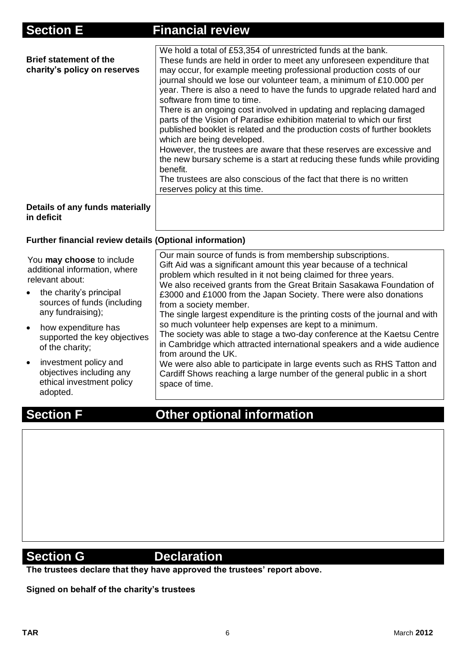| <b>Section E</b>                                               | <b>Financial review</b>                                                                                                                                                                                                                                                                                                                                                                                                                                                                                                                                                                                                                                                                                                                                                                                                                                                                                                                |
|----------------------------------------------------------------|----------------------------------------------------------------------------------------------------------------------------------------------------------------------------------------------------------------------------------------------------------------------------------------------------------------------------------------------------------------------------------------------------------------------------------------------------------------------------------------------------------------------------------------------------------------------------------------------------------------------------------------------------------------------------------------------------------------------------------------------------------------------------------------------------------------------------------------------------------------------------------------------------------------------------------------|
| <b>Brief statement of the</b><br>charity's policy on reserves  | We hold a total of £53,354 of unrestricted funds at the bank.<br>These funds are held in order to meet any unforeseen expenditure that<br>may occur, for example meeting professional production costs of our<br>journal should we lose our volunteer team, a minimum of £10.000 per<br>year. There is also a need to have the funds to upgrade related hard and<br>software from time to time.<br>There is an ongoing cost involved in updating and replacing damaged<br>parts of the Vision of Paradise exhibition material to which our first<br>published booklet is related and the production costs of further booklets<br>which are being developed.<br>However, the trustees are aware that these reserves are excessive and<br>the new bursary scheme is a start at reducing these funds while providing<br>benefit.<br>The trustees are also conscious of the fact that there is no written<br>reserves policy at this time. |
| Details of any funds materially<br>in deficit                  |                                                                                                                                                                                                                                                                                                                                                                                                                                                                                                                                                                                                                                                                                                                                                                                                                                                                                                                                        |
| <b>Further financial review details (Optional information)</b> |                                                                                                                                                                                                                                                                                                                                                                                                                                                                                                                                                                                                                                                                                                                                                                                                                                                                                                                                        |

| You may choose to include<br>additional information, where<br>relevant about:<br>the charity's principal<br>sources of funds (including<br>any fundraising);<br>how expenditure has<br>supported the key objectives<br>of the charity;<br>investment policy and<br>objectives including any<br>ethical investment policy<br>adopted. | Our main source of funds is from membership subscriptions.<br>Gift Aid was a significant amount this year because of a technical<br>problem which resulted in it not being claimed for three years.<br>We also received grants from the Great Britain Sasakawa Foundation of<br>£3000 and £1000 from the Japan Society. There were also donations<br>from a society member.<br>The single largest expenditure is the printing costs of the journal and with<br>so much volunteer help expenses are kept to a minimum.<br>The society was able to stage a two-day conference at the Kaetsu Centre<br>in Cambridge which attracted international speakers and a wide audience<br>from around the UK.<br>We were also able to participate in large events such as RHS Tatton and<br>Cardiff Shows reaching a large number of the general public in a short<br>space of time. |
|--------------------------------------------------------------------------------------------------------------------------------------------------------------------------------------------------------------------------------------------------------------------------------------------------------------------------------------|---------------------------------------------------------------------------------------------------------------------------------------------------------------------------------------------------------------------------------------------------------------------------------------------------------------------------------------------------------------------------------------------------------------------------------------------------------------------------------------------------------------------------------------------------------------------------------------------------------------------------------------------------------------------------------------------------------------------------------------------------------------------------------------------------------------------------------------------------------------------------|
|--------------------------------------------------------------------------------------------------------------------------------------------------------------------------------------------------------------------------------------------------------------------------------------------------------------------------------------|---------------------------------------------------------------------------------------------------------------------------------------------------------------------------------------------------------------------------------------------------------------------------------------------------------------------------------------------------------------------------------------------------------------------------------------------------------------------------------------------------------------------------------------------------------------------------------------------------------------------------------------------------------------------------------------------------------------------------------------------------------------------------------------------------------------------------------------------------------------------------|

# **Section F Other optional information**

## **Section G** Declaration

**The trustees declare that they have approved the trustees' report above.** 

**Signed on behalf of the charity's trustees**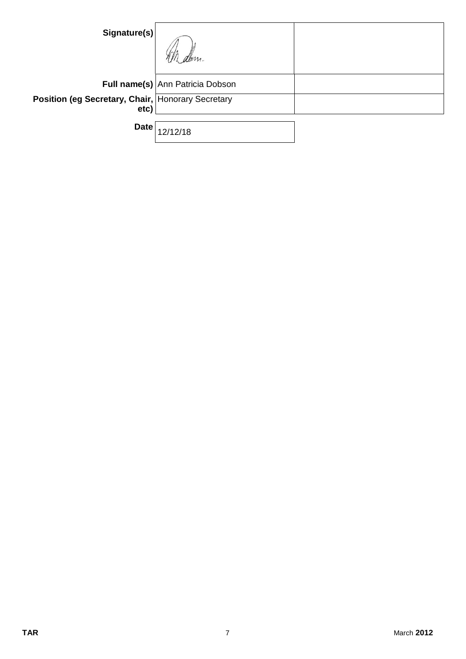| Signature(s)                                              |                                  |  |
|-----------------------------------------------------------|----------------------------------|--|
|                                                           | Full name(s) Ann Patricia Dobson |  |
| Position (eg Secretary, Chair, Honorary Secretary<br>etc) |                                  |  |
| <b>Date</b>                                               | 2/18                             |  |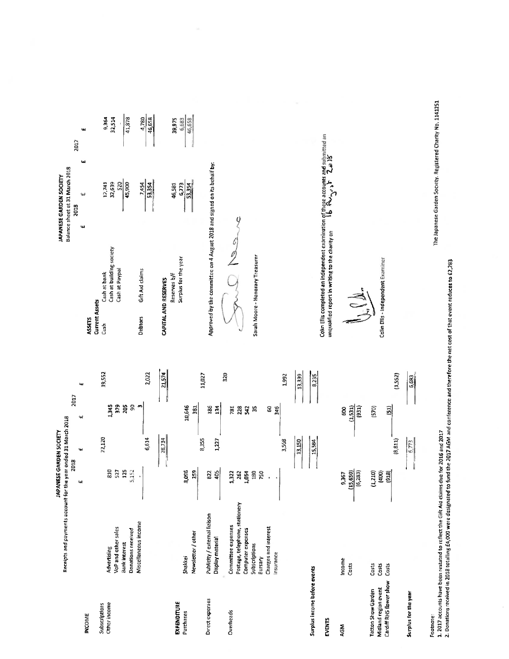|                                                                       |                                                                                                                                            | <b>JAPANESE GARDEN SOCIETY</b>        |                  |                                     |                 |        |
|-----------------------------------------------------------------------|--------------------------------------------------------------------------------------------------------------------------------------------|---------------------------------------|------------------|-------------------------------------|-----------------|--------|
|                                                                       | Receipts and payments account for the year ended 31 March 2018                                                                             | 2018                                  |                  | 2017                                |                 |        |
| <b>INCOME</b>                                                         |                                                                                                                                            | щ                                     | Ч.               | $\ddot{\phantom{1}}$                | tą,             |        |
| Other income<br>Subscriptions                                         | VoP and other sales<br>Donations received<br><b>Bank interest</b><br>Advertising                                                           | $\overline{a}$<br>125<br>5,152<br>527 | 22,120           | 1,345<br>379<br>g<br>205            | 19,552          |        |
|                                                                       | Miscellaneous income                                                                                                                       | ¢                                     | 6,614<br>28,734  | $\bullet$                           | 2,022<br>21,574 |        |
| EXPENDITURE<br>Purchases                                              | Newsletter / other<br>Shakkei                                                                                                              | 8,096<br>259                          |                  | 10,646<br>$\overline{3}$            |                 |        |
| Direct expenses                                                       | Publicity / external liaison<br>Display material                                                                                           | 822<br>405                            | 8,355<br>1,227   | 186<br>134                          | 11,027          |        |
| Overheads                                                             | Postage, telephone, stationery<br>Committee expenses<br>Charges and interest<br>Computer expenses<br>Subscriptions<br>Insurance<br>Bursary | 180<br>250<br>1,322<br>1,054<br>262   | 3,568            | ă.<br>g<br>781<br>228<br>542<br>346 | 320<br>1,992    |        |
| Surplus income before events<br><b>EVENTS</b>                         |                                                                                                                                            |                                       | 13,150<br>15,584 |                                     | 13,339<br>8,235 | ◡<br>P |
| AGM                                                                   | Income<br>Costs                                                                                                                            | (15, 650)<br>(6, 283)<br>9367         |                  | (1, 531)<br>(931)<br>g              |                 |        |
| Cardiff RHS flower show<br>Midland region event<br>Tatton Show Garden | Costs<br>Casts<br>Costs                                                                                                                    | (1, 210)<br>(400)<br>[918]            | (8, 811)         | (570)<br>$\widehat{5}$              | (1,552)         | မ      |
| Surplus for the year                                                  |                                                                                                                                            |                                       | 6,773            |                                     | 6,683           |        |

Footnote:<br>1. 2017 accounts have been restated to reflect the Gift Aid claims due for 2016 and 2017<br>2. Donations received in 2018 totalling £4,000 were designated to fund the 2017 AGM and conference and therefore then tost

|                       |                                                                         |      | <b>APANESE GARDEN SOCIETY</b>  |    |      |        |
|-----------------------|-------------------------------------------------------------------------|------|--------------------------------|----|------|--------|
|                       |                                                                         |      | Balance sheet at 31 March 2018 |    |      |        |
|                       |                                                                         | 2018 |                                |    | 2017 |        |
| ASSETS                |                                                                         | ш    | یبه                            | 41 |      | щ      |
| <b>Current Assets</b> |                                                                         |      |                                |    |      |        |
| Cash                  | Cash at bank                                                            |      | 12,741                         |    |      | 9364   |
|                       | Cash at building society                                                |      | 32,639                         |    |      | 32,514 |
|                       | Cash at Paypal                                                          |      | 520                            |    |      | ï      |
|                       |                                                                         |      | 45,900                         |    |      | 41,878 |
|                       |                                                                         |      |                                |    |      |        |
| <b>Debtors</b>        | Gift Aid claims                                                         |      | 7,454                          |    |      | 4,780  |
|                       |                                                                         |      | 53.354                         |    |      | 46,658 |
| CAPITAL AND RESERVES  |                                                                         |      |                                |    |      |        |
|                       |                                                                         |      |                                |    |      |        |
|                       | Reserves b/f                                                            |      | 46,581                         |    |      | 39,975 |
|                       | Surplus for the year                                                    |      | 6773                           |    |      | 6,683  |
|                       |                                                                         |      | 53.354                         |    |      | 46,658 |
|                       |                                                                         |      |                                |    |      |        |
|                       |                                                                         |      |                                |    |      |        |
|                       | Approved by the committee on 4 August 2018 and signed on its behalf by: |      |                                |    |      |        |

Sound heave

Sarah Moore - Honorary Treasurer

Colm Ellis completed an independent examination of these accounts and submitted an<br>unqualified report in writing to the charity on  $\begin{array}{ccc} \mathbf{b} & \mathbf{f} \mathbf{v}_{\mathbf{v},\mathbf{v},\mathbf{v},\mathbf{v}} \mathbf{b} & \mathbf{T} & \mathbf{J} \mathbf{B} \end{array}$ 

J.J.

Colin Ellis - Independent Examiner

The Japanese Garden Society. Registered Charity No. 1141251